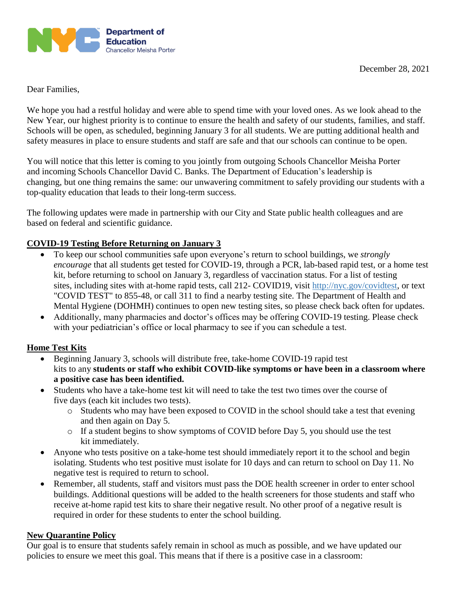

Dear Families,

We hope you had a restful holiday and were able to spend time with your loved ones. As we look ahead to the New Year, our highest priority is to continue to ensure the health and safety of our students, families, and staff. Schools will be open, as scheduled, beginning January 3 for all students. We are putting additional health and safety measures in place to ensure students and staff are safe and that our schools can continue to be open.

You will notice that this letter is coming to you jointly from outgoing Schools Chancellor Meisha Porter and incoming Schools Chancellor David C. Banks. The Department of Education's leadership is changing, but one thing remains the same: our unwavering commitment to safely providing our students with a top-quality education that leads to their long-term success.

The following updates were made in partnership with our City and State public health colleagues and are based on federal and scientific guidance.

# **COVID-19 Testing Before Returning on January 3**

- To keep our school communities safe upon everyone's return to school buildings, we *strongly encourage* that all students get tested for COVID-19, through a PCR, lab-based rapid test, or a home test kit, before returning to school on January 3, regardless of vaccination status. For a list of testing sites, including sites with at-home rapid tests, call 212- COVID19, visit [http://nyc.gov/covidtest,](http://nyc.gov/covidtest) or text "COVID TEST" to 855-48, or call 311 to find a nearby testing site. The Department of Health and Mental Hygiene (DOHMH) continues to open new testing sites, so please check back often for updates.
- Additionally, many pharmacies and doctor's offices may be offering COVID-19 testing. Please check with your pediatrician's office or local pharmacy to see if you can schedule a test.

# **Home Test Kits**

- Beginning January 3, schools will distribute free, take-home COVID-19 rapid test kits to any **students or staff who exhibit COVID-like symptoms or have been in a classroom where a positive case has been identified.**
- Students who have a take-home test kit will need to take the test two times over the course of five days (each kit includes two tests).
	- o Students who may have been exposed to COVID in the school should take a test that evening and then again on Day 5.
	- o If a student begins to show symptoms of COVID before Day 5, you should use the test kit immediately.
- Anyone who tests positive on a take-home test should immediately report it to the school and begin isolating. Students who test positive must isolate for 10 days and can return to school on Day 11. No negative test is required to return to school.
- Remember, all students, staff and visitors must pass the DOE health screener in order to enter school buildings. Additional questions will be added to the health screeners for those students and staff who receive at-home rapid test kits to share their negative result. No other proof of a negative result is required in order for these students to enter the school building.

## **New Quarantine Policy**

Our goal is to ensure that students safely remain in school as much as possible, and we have updated our policies to ensure we meet this goal. This means that if there is a positive case in a classroom: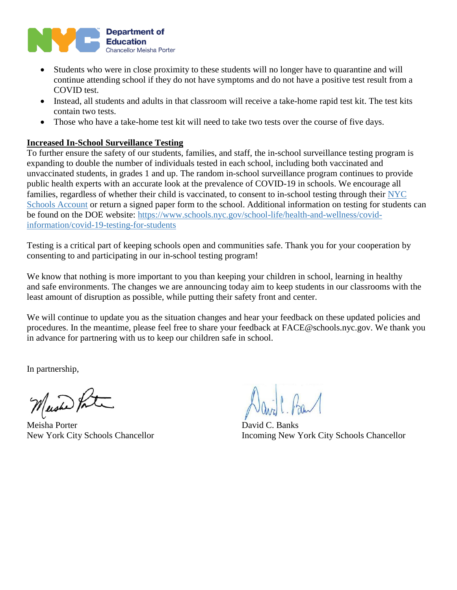

- Students who were in close proximity to these students will no longer have to quarantine and will continue attending school if they do not have symptoms and do not have a positive test result from a COVID test.
- Instead, all students and adults in that classroom will receive a take-home rapid test kit. The test kits contain two tests.
- Those who have a take-home test kit will need to take two tests over the course of five days.

### **Increased In-School Surveillance Testing**

To further ensure the safety of our students, families, and staff, the in-school surveillance testing program is expanding to double the number of individuals tested in each school, including both vaccinated and unvaccinated students, in grades 1 and up. The random in-school surveillance program continues to provide public health experts with an accurate look at the prevalence of COVID-19 in schools. We encourage all families, regardless of whether their child is vaccinated, to consent to in-school testing through their [NYC](https://www.schoolsaccount.nyc/)  [Schools Account](https://www.schoolsaccount.nyc/) or return a signed paper form to the school. Additional information on testing for students can be found on the DOE website: [https://www.schools.nyc.gov/school-life/health-and-wellness/covid](https://www.schools.nyc.gov/school-life/health-and-wellness/covid-information/covid-19-testing-for-students)[information/covid-19-testing-for-students](https://www.schools.nyc.gov/school-life/health-and-wellness/covid-information/covid-19-testing-for-students)

Testing is a critical part of keeping schools open and communities safe. Thank you for your cooperation by consenting to and participating in our in-school testing program!

We know that nothing is more important to you than keeping your children in school, learning in healthy and safe environments. The changes we are announcing today aim to keep students in our classrooms with the least amount of disruption as possible, while putting their safety front and center.

We will continue to update you as the situation changes and hear your feedback on these updated policies and procedures. In the meantime, please feel free to share your feedback at FACE@schools.nyc.gov. We thank you in advance for partnering with us to keep our children safe in school.

In partnership,

Mashe Pot

Meisha Porter David C. Banks

New York City Schools Chancellor Incoming New York City Schools Chancellor